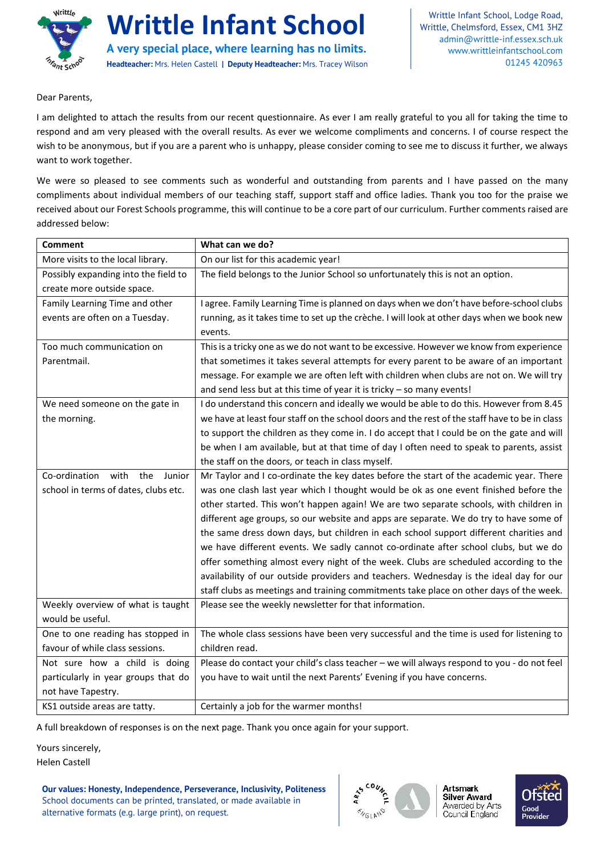

**Writtle Infant School**

**A very special place, where learning has no limits. Headteacher:** Mrs. Helen Castell **| Deputy Headteacher:** Mrs. Tracey Wilson

Writtle Infant School, Lodge Road, Writtle, Chelmsford, Essex, CM1 3HZ [admin@writtle-inf.essex.sch.uk](mailto:admin@writtle-inf.essex.sch.uk) www.writtleinfantschool.com 01245 420963

Dear Parents,

I am delighted to attach the results from our recent questionnaire. As ever I am really grateful to you all for taking the time to respond and am very pleased with the overall results. As ever we welcome compliments and concerns. I of course respect the wish to be anonymous, but if you are a parent who is unhappy, please consider coming to see me to discuss it further, we always want to work together.

We were so pleased to see comments such as wonderful and outstanding from parents and I have passed on the many compliments about individual members of our teaching staff, support staff and office ladies. Thank you too for the praise we received about our Forest Schools programme, this will continue to be a core part of our curriculum. Further comments raised are addressed below:

| <b>Comment</b>                         | What can we do?                                                                               |
|----------------------------------------|-----------------------------------------------------------------------------------------------|
| More visits to the local library.      | On our list for this academic year!                                                           |
| Possibly expanding into the field to   | The field belongs to the Junior School so unfortunately this is not an option.                |
| create more outside space.             |                                                                                               |
| Family Learning Time and other         | I agree. Family Learning Time is planned on days when we don't have before-school clubs       |
| events are often on a Tuesday.         | running, as it takes time to set up the crèche. I will look at other days when we book new    |
|                                        | events.                                                                                       |
| Too much communication on              | This is a tricky one as we do not want to be excessive. However we know from experience       |
| Parentmail.                            | that sometimes it takes several attempts for every parent to be aware of an important         |
|                                        | message. For example we are often left with children when clubs are not on. We will try       |
|                                        | and send less but at this time of year it is tricky - so many events!                         |
| We need someone on the gate in         | I do understand this concern and ideally we would be able to do this. However from 8.45       |
| the morning.                           | we have at least four staff on the school doors and the rest of the staff have to be in class |
|                                        | to support the children as they come in. I do accept that I could be on the gate and will     |
|                                        | be when I am available, but at that time of day I often need to speak to parents, assist      |
|                                        | the staff on the doors, or teach in class myself.                                             |
| Co-ordination<br>with<br>the<br>Junior | Mr Taylor and I co-ordinate the key dates before the start of the academic year. There        |
| school in terms of dates, clubs etc.   | was one clash last year which I thought would be ok as one event finished before the          |
|                                        | other started. This won't happen again! We are two separate schools, with children in         |
|                                        | different age groups, so our website and apps are separate. We do try to have some of         |
|                                        | the same dress down days, but children in each school support different charities and         |
|                                        | we have different events. We sadly cannot co-ordinate after school clubs, but we do           |
|                                        | offer something almost every night of the week. Clubs are scheduled according to the          |
|                                        | availability of our outside providers and teachers. Wednesday is the ideal day for our        |
|                                        | staff clubs as meetings and training commitments take place on other days of the week.        |
| Weekly overview of what is taught      | Please see the weekly newsletter for that information.                                        |
| would be useful.                       |                                                                                               |
| One to one reading has stopped in      | The whole class sessions have been very successful and the time is used for listening to      |
| favour of while class sessions.        | children read.                                                                                |
| Not sure how a child is doing          | Please do contact your child's class teacher - we will always respond to you - do not feel    |
| particularly in year groups that do    | you have to wait until the next Parents' Evening if you have concerns.                        |
| not have Tapestry.                     |                                                                                               |
| KS1 outside areas are tatty.           | Certainly a job for the warmer months!                                                        |

A full breakdown of responses is on the next page. Thank you once again for your support.

Yours sincerely,

Helen Castell

**Our values: Honesty, Independence, Perseverance, Inclusivity, Politeness** School documents can be printed, translated, or made available in alternative formats (e.g. large print), on request.



**Artsmark Silver Award** Awarded by Arts<br>Council England